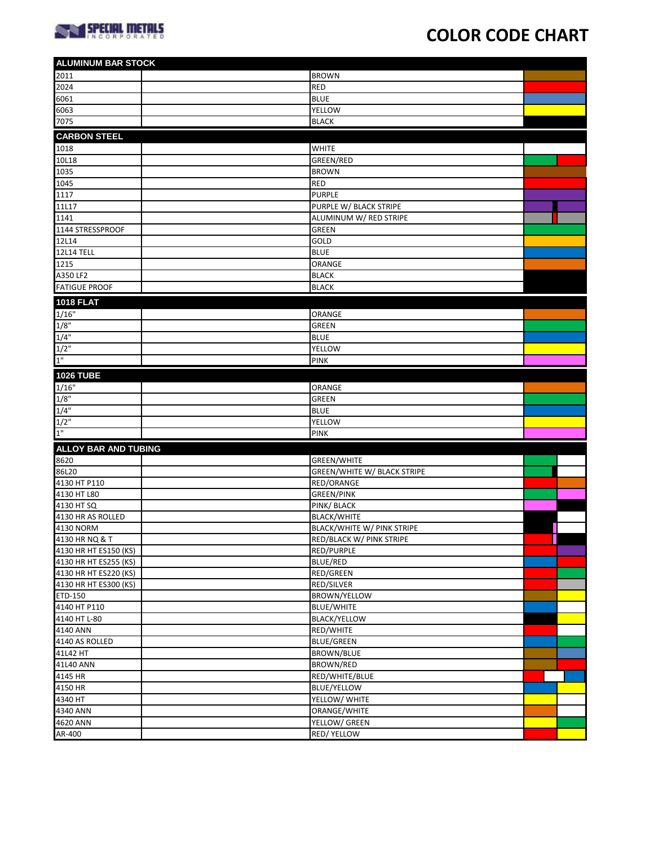

## **COLOR CODE CHART**

| <b>ALUMINUM BAR STOCK</b>   |                               |  |
|-----------------------------|-------------------------------|--|
| 2011                        | <b>BROWN</b>                  |  |
| 2024                        | <b>RED</b>                    |  |
| 6061                        | <b>BLUE</b>                   |  |
| 6063                        | <b>YELLOW</b>                 |  |
| 7075                        | <b>BLACK</b>                  |  |
| <b>CARBON STEEL</b>         |                               |  |
| 1018                        |                               |  |
| 10L18                       | <b>WHITE</b>                  |  |
|                             | GREEN/RED                     |  |
| 1035                        | <b>BROWN</b>                  |  |
| 1045                        | <b>RED</b>                    |  |
| 1117                        | <b>PURPLE</b>                 |  |
| 11L17                       | PURPLE W/ BLACK STRIPE        |  |
| 1141                        | ALUMINUM W/ RED STRIPE        |  |
| 1144 STRESSPROOF            | <b>GREEN</b>                  |  |
| 12L14                       | GOLD                          |  |
| <b>12L14 TELL</b>           | <b>BLUE</b>                   |  |
| 1215                        | ORANGE                        |  |
| A350 LF2                    | <b>BLACK</b>                  |  |
| <b>FATIGUE PROOF</b>        | <b>BLACK</b>                  |  |
| <b>1018 FLAT</b>            |                               |  |
| 1/16"                       | <b>ORANGE</b>                 |  |
| 1/8"                        | <b>GREEN</b>                  |  |
| 1/4"                        | <b>BLUE</b>                   |  |
| $1/2$ "                     | YELLOW                        |  |
| 1"                          | <b>PINK</b>                   |  |
|                             |                               |  |
| <b>1026 TUBE</b>            |                               |  |
| 1/16"                       | ORANGE                        |  |
| 1/8"                        | <b>GREEN</b>                  |  |
| 1/4"                        | <b>BLUE</b>                   |  |
| $1/2$ "                     | YELLOW                        |  |
| 1"                          | <b>PINK</b>                   |  |
| <b>ALLOY BAR AND TUBING</b> |                               |  |
| 8620                        | <b>GREEN/WHITE</b>            |  |
| 86L20                       | GREEN/WHITE W/ BLACK STRIPE   |  |
| 4130 HT P110                | RED/ORANGE                    |  |
| 4130 HT L80                 | <b>GREEN/PINK</b>             |  |
| 4130 HT SQ                  | <b>PINK/ BLACK</b>            |  |
| 4130 HR AS ROLLED           | <b>BLACK/WHITE</b>            |  |
| 4130 NORM                   | BLACK/WHITE W/ PINK STRIPE    |  |
| 4130 HR NQ & T              | RED/BLACK W/ PINK STRIPE      |  |
| 4130 HR HT ES150 (KS)       | RED/PURPLE                    |  |
| 4130 HR HT ES255 (KS)       | BLUE/RED                      |  |
| 4130 HR HT ES220 (KS)       | RED/GREEN                     |  |
| 4130 HR HT ES300 (KS)       | RED/SILVER                    |  |
| ETD-150                     | BROWN/YELLOW                  |  |
| 4140 HT P110                | <b>BLUE/WHITE</b>             |  |
| 4140 HT L-80                |                               |  |
|                             | <b>BLACK/YELLOW</b>           |  |
| 4140 ANN                    | RED/WHITE                     |  |
| 4140 AS ROLLED              | <b>BLUE/GREEN</b>             |  |
| 41L42 HT                    | <b>BROWN/BLUE</b>             |  |
| 41L40 ANN                   | BROWN/RED                     |  |
| 4145 HR                     | RED/WHITE/BLUE                |  |
|                             |                               |  |
| 4150 HR                     | <b>BLUE/YELLOW</b>            |  |
| 4340 HT                     | YELLOW/ WHITE                 |  |
| 4340 ANN<br>4620 ANN        | ORANGE/WHITE<br>YELLOW/ GREEN |  |